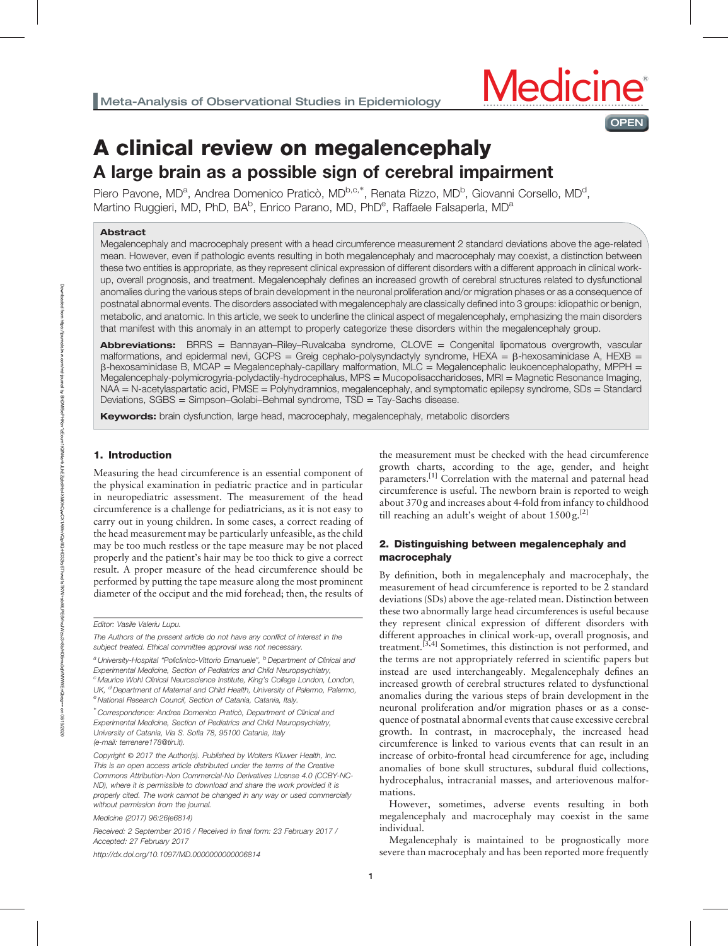

# A clinical review on megalencephaly

# A large brain as a possible sign of cerebral impairment

Piero Pavone, MD<sup>a</sup>, Andrea Domenico Praticò, MD<sup>b,c,\*</sup>, Renata Rizzo, MD<sup>b</sup>, Giovanni Corsello, MD<sup>d</sup>, Martino Ruggieri, MD, PhD, BA<sup>b</sup>, Enrico Parano, MD, PhD<sup>e</sup>, Raffaele Falsaperla, MD<sup>a</sup>

## Abstract

Megalencephaly and macrocephaly present with a head circumference measurement 2 standard deviations above the age-related mean. However, even if pathologic events resulting in both megalencephaly and macrocephaly may coexist, a distinction between these two entities is appropriate, as they represent clinical expression of different disorders with a different approach in clinical workup, overall prognosis, and treatment. Megalencephaly defines an increased growth of cerebral structures related to dysfunctional anomalies during the various steps of brain development in the neuronal proliferation and/or migration phases or as a consequence of postnatal abnormal events. The disorders associated with megalencephaly are classically defined into 3 groups: idiopathic or benign, metabolic, and anatomic. In this article, we seek to underline the clinical aspect of megalencephaly, emphasizing the main disorders that manifest with this anomaly in an attempt to properly categorize these disorders within the megalencephaly group.

Abbreviations: BRRS = Bannayan-Riley-Ruvalcaba syndrome, CLOVE = Congenital lipomatous overgrowth, vascular malformations, and epidermal nevi, GCPS = Greig cephalo-polysyndactyly syndrome, HEXA =  $\beta$ -hexosaminidase A, HEXB =  $\beta$ -hexosaminidase B, MCAP = Megalencephaly-capillary malformation, MLC = Megalencephalic leukoencephalopathy, MPPH = Megalencephaly-polymicrogyria-polydactily-hydrocephalus, MPS = Mucopolisaccharidoses, MRI = Magnetic Resonance Imaging, NAA = N-acetylaspartatic acid, PMSE = Polyhydramnios, megalencephaly, and symptomatic epilepsy syndrome, SDs = Standard Deviations, SGBS = Simpson–Golabi–Behmal syndrome, TSD = Tay-Sachs disease.

**Keywords:** brain dysfunction, large head, macrocephaly, megalencephaly, metabolic disorders

# 1. Introduction

Measuring the head circumference is an essential component of the physical examination in pediatric practice and in particular in neuropediatric assessment. The measurement of the head circumference is a challenge for pediatricians, as it is not easy to carry out in young children. In some cases, a correct reading of the head measurement may be particularly unfeasible, as the child may be too much restless or the tape measure may be not placed properly and the patient's hair may be too thick to give a correct result. A proper measure of the head circumference should be performed by putting the tape measure along the most prominent diameter of the occiput and the mid forehead; then, the results of

The Authors of the present article do not have any conflict of interest in the subject treated. Ethical committee approval was not necessary.

<sup>a</sup> University-Hospital "Policlinico-Vittorio Emanuele", <sup>b</sup> Department of Clinical and Experimental Medicine, Section of Pediatrics and Child Neuropsychiatry, <sup>c</sup> Maurice Wohl Clinical Neuroscience Institute, King's College London, London, UK, <sup>d</sup> Department of Maternal and Child Health, University of Palermo, Palermo, e National Research Council, Section of Catania, Catania, Italy.

∗ Correspondence: Andrea Domenico Praticò, Department of Clinical and Experimental Medicine, Section of Pediatrics and Child Neuropsychiatry, University of Catania, Via S. Sofia 78, 95100 Catania, Italy (e-mail: [terrenere178@tin.it\)](mailto:terrenere178@tin.it).

Copyright © 2017 the Author(s). Published by Wolters Kluwer Health, Inc. This is an open access article distributed under the terms of the [Creative](http://creativecommons.org/licenses/by-nc-nd/4.0) [Commons Attribution-Non Commercial-No Derivatives License 4.0](http://creativecommons.org/licenses/by-nc-nd/4.0) (CCBY-NC-ND), where it is permissible to download and share the work provided it is properly cited. The work cannot be changed in any way or used commercially without permission from the journal.

Medicine (2017) 96:26(e6814)

Received: 2 September 2016 / Received in final form: 23 February 2017 / Accepted: 27 February 2017

<http://dx.doi.org/10.1097/MD.0000000000006814>

the measurement must be checked with the head circumference growth charts, according to the age, gender, and height parameters.<sup>[1]</sup> Correlation with the maternal and paternal head circumference is useful. The newborn brain is reported to weigh about 370 g and increases about 4-fold from infancy to childhood till reaching an adult's weight of about  $1500 \text{ g}$ <sup>[2]</sup>

# 2. Distinguishing between megalencephaly and macrocephaly

By definition, both in megalencephaly and macrocephaly, the measurement of head circumference is reported to be 2 standard deviations (SDs) above the age-related mean. Distinction between these two abnormally large head circumferences is useful because they represent clinical expression of different disorders with different approaches in clinical work-up, overall prognosis, and treatment. $^{[3,4]}$  Sometimes, this distinction is not performed, and the terms are not appropriately referred in scientific papers but instead are used interchangeably. Megalencephaly defines an increased growth of cerebral structures related to dysfunctional anomalies during the various steps of brain development in the neuronal proliferation and/or migration phases or as a consequence of postnatal abnormal events that cause excessive cerebral growth. In contrast, in macrocephaly, the increased head circumference is linked to various events that can result in an increase of orbito-frontal head circumference for age, including anomalies of bone skull structures, subdural fluid collections, hydrocephalus, intracranial masses, and arteriovenous malformations.

However, sometimes, adverse events resulting in both megalencephaly and macrocephaly may coexist in the same individual.

Megalencephaly is maintained to be prognostically more severe than macrocephaly and has been reported more frequently

Editor: Vasile Valeriu Lupu.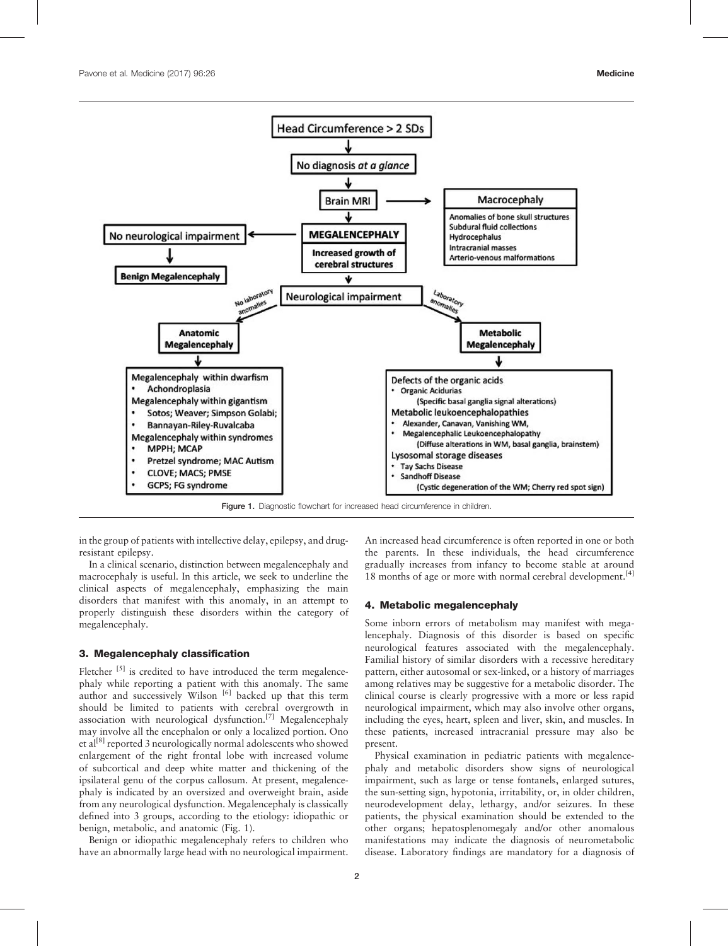

Figure 1. Diagnostic flowchart for increased head circumference in children.

in the group of patients with intellective delay, epilepsy, and drugresistant epilepsy.

In a clinical scenario, distinction between megalencephaly and macrocephaly is useful. In this article, we seek to underline the clinical aspects of megalencephaly, emphasizing the main disorders that manifest with this anomaly, in an attempt to properly distinguish these disorders within the category of megalencephaly.

#### 3. Megalencephaly classification

Fletcher  $[5]$  is credited to have introduced the term megalencephaly while reporting a patient with this anomaly. The same author and successively Wilson <sup>[6]</sup> backed up that this term should be limited to patients with cerebral overgrowth in association with neurological dysfunction.<sup>[7]</sup> Megalencephaly may involve all the encephalon or only a localized portion. Ono et al<sup>[8]</sup> reported 3 neurologically normal adolescents who showed enlargement of the right frontal lobe with increased volume of subcortical and deep white matter and thickening of the ipsilateral genu of the corpus callosum. At present, megalencephaly is indicated by an oversized and overweight brain, aside from any neurological dysfunction. Megalencephaly is classically defined into 3 groups, according to the etiology: idiopathic or benign, metabolic, and anatomic (Fig. 1).

Benign or idiopathic megalencephaly refers to children who have an abnormally large head with no neurological impairment. An increased head circumference is often reported in one or both the parents. In these individuals, the head circumference gradually increases from infancy to become stable at around 18 months of age or more with normal cerebral development.<sup>[4]</sup>

#### 4. Metabolic megalencephaly

Some inborn errors of metabolism may manifest with megalencephaly. Diagnosis of this disorder is based on specific neurological features associated with the megalencephaly. Familial history of similar disorders with a recessive hereditary pattern, either autosomal or sex-linked, or a history of marriages among relatives may be suggestive for a metabolic disorder. The clinical course is clearly progressive with a more or less rapid neurological impairment, which may also involve other organs, including the eyes, heart, spleen and liver, skin, and muscles. In these patients, increased intracranial pressure may also be present.

Physical examination in pediatric patients with megalencephaly and metabolic disorders show signs of neurological impairment, such as large or tense fontanels, enlarged sutures, the sun-setting sign, hypotonia, irritability, or, in older children, neurodevelopment delay, lethargy, and/or seizures. In these patients, the physical examination should be extended to the other organs; hepatosplenomegaly and/or other anomalous manifestations may indicate the diagnosis of neurometabolic disease. Laboratory findings are mandatory for a diagnosis of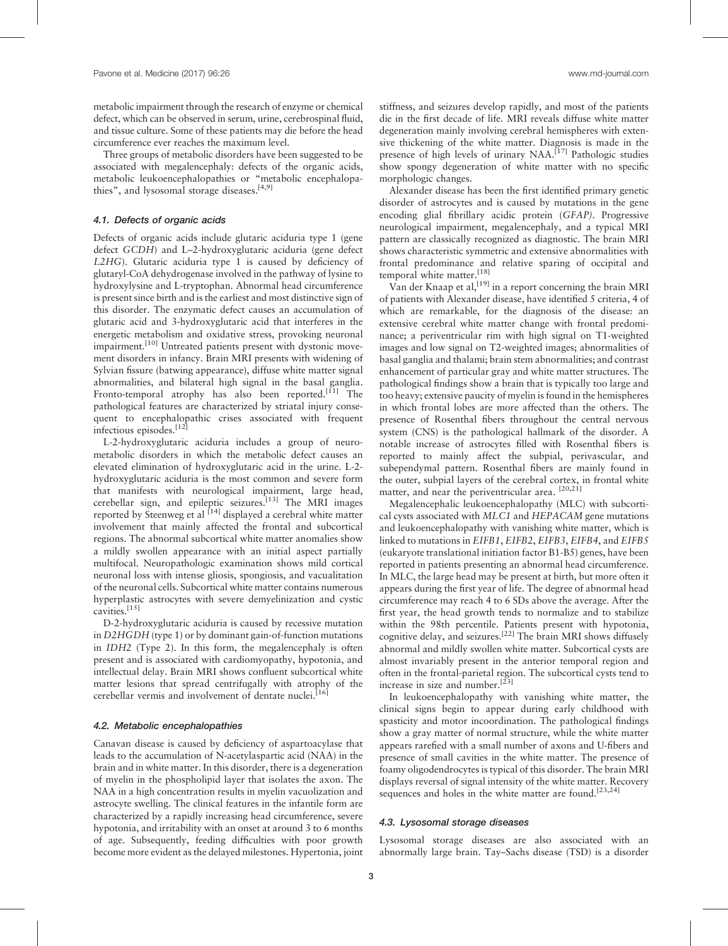metabolic impairment through the research of enzyme or chemical defect, which can be observed in serum, urine, cerebrospinal fluid, and tissue culture. Some of these patients may die before the head circumference ever reaches the maximum level.

Three groups of metabolic disorders have been suggested to be associated with megalencephaly: defects of the organic acids, metabolic leukoencephalopathies or "metabolic encephalopathies", and lysosomal storage diseases.<sup>[4,9]</sup>

#### 4.1. Defects of organic acids

Defects of organic acids include glutaric aciduria type 1 (gene defect GCDH) and L–2-hydroxyglutaric aciduria (gene defect L2HG). Glutaric aciduria type 1 is caused by deficiency of glutaryl-CoA dehydrogenase involved in the pathway of lysine to hydroxylysine and L-tryptophan. Abnormal head circumference is present since birth and is the earliest and most distinctive sign of this disorder. The enzymatic defect causes an accumulation of glutaric acid and 3-hydroxyglutaric acid that interferes in the energetic metabolism and oxidative stress, provoking neuronal impairment.<sup>[10]</sup> Untreated patients present with dystonic movement disorders in infancy. Brain MRI presents with widening of Sylvian fissure (batwing appearance), diffuse white matter signal abnormalities, and bilateral high signal in the basal ganglia. Fronto-temporal atrophy has also been reported.<sup>[11]</sup> The pathological features are characterized by striatal injury consequent to encephalopathic crises associated with frequent infectious episodes.[12]

L-2-hydroxyglutaric aciduria includes a group of neurometabolic disorders in which the metabolic defect causes an elevated elimination of hydroxyglutaric acid in the urine. L-2 hydroxyglutaric aciduria is the most common and severe form that manifests with neurological impairment, large head, cerebellar sign, and epileptic seizures.<sup>[13]</sup> The MRI images reported by Steenweg et al <sup>[14]</sup> displayed a cerebral white matter involvement that mainly affected the frontal and subcortical regions. The abnormal subcortical white matter anomalies show a mildly swollen appearance with an initial aspect partially multifocal. Neuropathologic examination shows mild cortical neuronal loss with intense gliosis, spongiosis, and vacualitation of the neuronal cells. Subcortical white matter contains numerous hyperplastic astrocytes with severe demyelinization and cystic cavities. $^{[15]}$ 

D-2-hydroxyglutaric aciduria is caused by recessive mutation in D2HGDH (type 1) or by dominant gain-of-function mutations in IDH2 (Type 2). In this form, the megalencephaly is often present and is associated with cardiomyopathy, hypotonia, and intellectual delay. Brain MRI shows confluent subcortical white matter lesions that spread centrifugally with atrophy of the cerebellar vermis and involvement of dentate nuclei.<sup>[16]</sup>

#### 4.2. Metabolic encephalopathies

Canavan disease is caused by deficiency of aspartoacylase that leads to the accumulation of N-acetylaspartic acid (NAA) in the brain and in white matter. In this disorder, there is a degeneration of myelin in the phospholipid layer that isolates the axon. The NAA in a high concentration results in myelin vacuolization and astrocyte swelling. The clinical features in the infantile form are characterized by a rapidly increasing head circumference, severe hypotonia, and irritability with an onset at around 3 to 6 months of age. Subsequently, feeding difficulties with poor growth become more evident as the delayed milestones. Hypertonia, joint

stiffness, and seizures develop rapidly, and most of the patients die in the first decade of life. MRI reveals diffuse white matter degeneration mainly involving cerebral hemispheres with extensive thickening of the white matter. Diagnosis is made in the presence of high levels of urinary NAA.<sup>[17]</sup> Pathologic studies show spongy degeneration of white matter with no specific morphologic changes.

Alexander disease has been the first identified primary genetic disorder of astrocytes and is caused by mutations in the gene encoding glial fibrillary acidic protein (GFAP). Progressive neurological impairment, megalencephaly, and a typical MRI pattern are classically recognized as diagnostic. The brain MRI shows characteristic symmetric and extensive abnormalities with frontal predominance and relative sparing of occipital and temporal white matter.<sup>[18]</sup>

Van der Knaap et al,<sup>[19]</sup> in a report concerning the brain MRI of patients with Alexander disease, have identified 5 criteria, 4 of which are remarkable, for the diagnosis of the disease: an extensive cerebral white matter change with frontal predominance; a periventricular rim with high signal on T1-weighted images and low signal on T2-weighted images; abnormalities of basal ganglia and thalami; brain stem abnormalities; and contrast enhancement of particular gray and white matter structures. The pathological findings show a brain that is typically too large and too heavy; extensive paucity of myelin is found in the hemispheres in which frontal lobes are more affected than the others. The presence of Rosenthal fibers throughout the central nervous system (CNS) is the pathological hallmark of the disorder. A notable increase of astrocytes filled with Rosenthal fibers is reported to mainly affect the subpial, perivascular, and subependymal pattern. Rosenthal fibers are mainly found in the outer, subpial layers of the cerebral cortex, in frontal white matter, and near the periventricular area. [20,21]

Megalencephalic leukoencephalopathy (MLC) with subcortical cysts associated with MLC1 and HEPACAM gene mutations and leukoencephalopathy with vanishing white matter, which is linked to mutations in EIFB1, EIFB2, EIFB3, EIFB4, and EIFB5 (eukaryote translational initiation factor B1-B5) genes, have been reported in patients presenting an abnormal head circumference. In MLC, the large head may be present at birth, but more often it appears during the first year of life. The degree of abnormal head circumference may reach 4 to 6 SDs above the average. After the first year, the head growth tends to normalize and to stabilize within the 98th percentile. Patients present with hypotonia, cognitive delay, and seizures.<sup>[22]</sup> The brain MRI shows diffusely abnormal and mildly swollen white matter. Subcortical cysts are almost invariably present in the anterior temporal region and often in the frontal-parietal region. The subcortical cysts tend to increase in size and number.<sup>[23]</sup>

In leukoencephalopathy with vanishing white matter, the clinical signs begin to appear during early childhood with spasticity and motor incoordination. The pathological findings show a gray matter of normal structure, while the white matter appears rarefied with a small number of axons and U-fibers and presence of small cavities in the white matter. The presence of foamy oligodendrocytes is typical of this disorder. The brain MRI displays reversal of signal intensity of the white matter. Recovery sequences and holes in the white matter are found.<sup>[23,24]</sup>

#### 4.3. Lysosomal storage diseases

Lysosomal storage diseases are also associated with an abnormally large brain. Tay–Sachs disease (TSD) is a disorder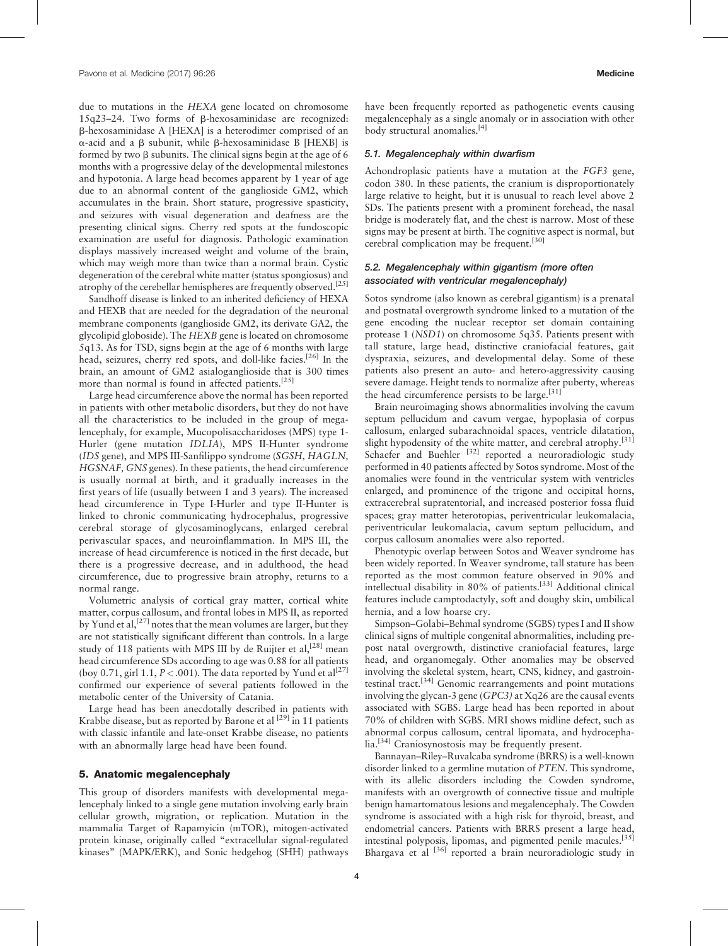due to mutations in the HEXA gene located on chromosome 15q23–24. Two forms of b-hexosaminidase are recognized: b-hexosaminidase A [HEXA] is a heterodimer comprised of an  $\alpha$ -acid and a  $\beta$  subunit, while  $\beta$ -hexosaminidase B [HEXB] is formed by two  $\beta$  subunits. The clinical signs begin at the age of 6 months with a progressive delay of the developmental milestones and hypotonia. A large head becomes apparent by 1 year of age due to an abnormal content of the ganglioside GM2, which accumulates in the brain. Short stature, progressive spasticity, and seizures with visual degeneration and deafness are the presenting clinical signs. Cherry red spots at the fundoscopic examination are useful for diagnosis. Pathologic examination displays massively increased weight and volume of the brain, which may weigh more than twice than a normal brain. Cystic degeneration of the cerebral white matter (status spongiosus) and atrophy of the cerebellar hemispheres are frequently observed.<sup>[25]</sup>

Sandhoff disease is linked to an inherited deficiency of HEXA and HEXB that are needed for the degradation of the neuronal membrane components (ganglioside GM2, its derivate GA2, the glycolipid globoside). The HEXB gene is located on chromosome 5q13. As for TSD, signs begin at the age of 6 months with large head, seizures, cherry red spots, and doll-like facies.<sup>[26]</sup> In the brain, an amount of GM2 asialoganglioside that is 300 times more than normal is found in affected patients.<sup>[25]</sup>

Large head circumference above the normal has been reported in patients with other metabolic disorders, but they do not have all the characteristics to be included in the group of megalencephaly, for example, Mucopolisaccharidoses (MPS) type 1- Hurler (gene mutation IDLIA), MPS II-Hunter syndrome (IDS gene), and MPS III-Sanfilippo syndrome (SGSH, HAGLN, HGSNAF, GNS genes). In these patients, the head circumference is usually normal at birth, and it gradually increases in the first years of life (usually between 1 and 3 years). The increased head circumference in Type I-Hurler and type II-Hunter is linked to chronic communicating hydrocephalus, progressive cerebral storage of glycosaminoglycans, enlarged cerebral perivascular spaces, and neuroinflammation. In MPS III, the increase of head circumference is noticed in the first decade, but there is a progressive decrease, and in adulthood, the head circumference, due to progressive brain atrophy, returns to a normal range.

Volumetric analysis of cortical gray matter, cortical white matter, corpus callosum, and frontal lobes in MPS II, as reported by Yund et al,  $[27]$  notes that the mean volumes are larger, but they are not statistically significant different than controls. In a large study of 118 patients with MPS III by de Ruijter et al,<sup>[28]</sup> mean head circumference SDs according to age was 0.88 for all patients (boy 0.71, girl 1.1,  $P < .001$ ). The data reported by Yund et al<sup>[27]</sup> confirmed our experience of several patients followed in the metabolic center of the University of Catania.

Large head has been anecdotally described in patients with Krabbe disease, but as reported by Barone et al  $[29]$  in 11 patients with classic infantile and late-onset Krabbe disease, no patients with an abnormally large head have been found.

#### 5. Anatomic megalencephaly

This group of disorders manifests with developmental megalencephaly linked to a single gene mutation involving early brain cellular growth, migration, or replication. Mutation in the mammalia Target of Rapamyicin (mTOR), mitogen-activated protein kinase, originally called "extracellular signal-regulated kinases" (MAPK/ERK), and Sonic hedgehog (SHH) pathways have been frequently reported as pathogenetic events causing megalencephaly as a single anomaly or in association with other body structural anomalies.<sup>[4]</sup>

#### 5.1. Megalencephaly within dwarfism

Achondroplasic patients have a mutation at the FGF3 gene, codon 380. In these patients, the cranium is disproportionately large relative to height, but it is unusual to reach level above 2 SDs. The patients present with a prominent forehead, the nasal bridge is moderately flat, and the chest is narrow. Most of these signs may be present at birth. The cognitive aspect is normal, but cerebral complication may be frequent.[30]

# 5.2. Megalencephaly within gigantism (more often associated with ventricular megalencephaly)

Sotos syndrome (also known as cerebral gigantism) is a prenatal and postnatal overgrowth syndrome linked to a mutation of the gene encoding the nuclear receptor set domain containing protease 1 (NSD1) on chromosome 5q35. Patients present with tall stature, large head, distinctive craniofacial features, gait dyspraxia, seizures, and developmental delay. Some of these patients also present an auto- and hetero-aggressivity causing severe damage. Height tends to normalize after puberty, whereas the head circumference persists to be large.<sup>[31]</sup>

Brain neuroimaging shows abnormalities involving the cavum septum pellucidum and cavum vergae, hypoplasia of corpus callosum, enlarged subarachnoidal spaces, ventricle dilatation, slight hypodensity of the white matter, and cerebral atrophy.<sup>[31]</sup> Schaefer and Buehler  $^{[32]}$  reported a neuroradiologic study performed in 40 patients affected by Sotos syndrome. Most of the anomalies were found in the ventricular system with ventricles enlarged, and prominence of the trigone and occipital horns, extracerebral supratentorial, and increased posterior fossa fluid spaces; gray matter heterotopias, periventricular leukomalacia, periventricular leukomalacia, cavum septum pellucidum, and corpus callosum anomalies were also reported.

Phenotypic overlap between Sotos and Weaver syndrome has been widely reported. In Weaver syndrome, tall stature has been reported as the most common feature observed in 90% and intellectual disability in 80% of patients.[33] Additional clinical features include camptodactyly, soft and doughy skin, umbilical hernia, and a low hoarse cry.

Simpson–Golabi–Behmal syndrome (SGBS) types I and II show clinical signs of multiple congenital abnormalities, including prepost natal overgrowth, distinctive craniofacial features, large head, and organomegaly. Other anomalies may be observed involving the skeletal system, heart, CNS, kidney, and gastrointestinal tract.<sup>[34]</sup> Genomic rearrangements and point mutations involving the glycan-3 gene (GPC3) at Xq26 are the causal events associated with SGBS. Large head has been reported in about 70% of children with SGBS. MRI shows midline defect, such as abnormal corpus callosum, central lipomata, and hydrocephalia.<sup>[34]</sup> Craniosynostosis may be frequently present.

Bannayan–Riley–Ruvalcaba syndrome (BRRS) is a well-known disorder linked to a germline mutation of PTEN. This syndrome, with its allelic disorders including the Cowden syndrome, manifests with an overgrowth of connective tissue and multiple benign hamartomatous lesions and megalencephaly. The Cowden syndrome is associated with a high risk for thyroid, breast, and endometrial cancers. Patients with BRRS present a large head, intestinal polyposis, lipomas, and pigmented penile macules.[35] Bhargava et al <sup>[36]</sup> reported a brain neuroradiologic study in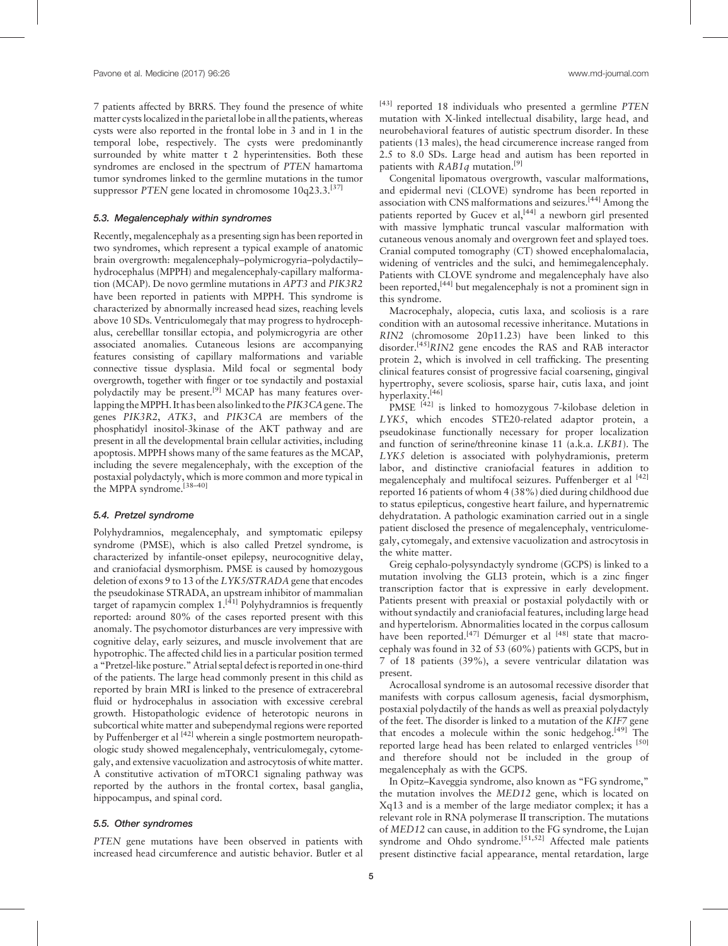7 patients affected by BRRS. They found the presence of white matter cysts localized in the parietal lobe in all the patients, whereas cysts were also reported in the frontal lobe in 3 and in 1 in the temporal lobe, respectively. The cysts were predominantly surrounded by white matter t 2 hyperintensities. Both these syndromes are enclosed in the spectrum of PTEN hamartoma tumor syndromes linked to the germline mutations in the tumor suppressor PTEN gene located in chromosome 10q23.3.<sup>[37]</sup>

### 5.3. Megalencephaly within syndromes

Recently, megalencephaly as a presenting sign has been reported in two syndromes, which represent a typical example of anatomic brain overgrowth: megalencephaly–polymicrogyria–polydactily– hydrocephalus (MPPH) and megalencephaly-capillary malformation (MCAP). De novo germline mutations in APT3 and PIK3R2 have been reported in patients with MPPH. This syndrome is characterized by abnormally increased head sizes, reaching levels above 10 SDs. Ventriculomegaly that may progress to hydrocephalus, cerebelllar tonsillar ectopia, and polymicrogyria are other associated anomalies. Cutaneous lesions are accompanying features consisting of capillary malformations and variable connective tissue dysplasia. Mild focal or segmental body overgrowth, together with finger or toe syndactily and postaxial polydactily may be present.<sup>[9]</sup> MCAP has many features overlapping the MPPH. It has been also linked to the PIK3CA gene. The genes PIK3R2, ATK3, and PIK3CA are members of the phosphatidyl inositol-3kinase of the AKT pathway and are present in all the developmental brain cellular activities, including apoptosis. MPPH shows many of the same features as the MCAP, including the severe megalencephaly, with the exception of the postaxial polydactyly, which is more common and more typical in the MPPA syndrome.[38–40]

#### 5.4. Pretzel syndrome

Polyhydramnios, megalencephaly, and symptomatic epilepsy syndrome (PMSE), which is also called Pretzel syndrome, is characterized by infantile-onset epilepsy, neurocognitive delay, and craniofacial dysmorphism. PMSE is caused by homozygous deletion of exons 9 to 13 of the LYK5/STRADA gene that encodes the pseudokinase STRADA, an upstream inhibitor of mammalian target of rapamycin complex  $1.^{[41]}$  Polyhydramnios is frequently reported: around 80% of the cases reported present with this anomaly. The psychomotor disturbances are very impressive with cognitive delay, early seizures, and muscle involvement that are hypotrophic. The affected child lies in a particular position termed a "Pretzel-like posture." Atrial septal defect is reported in one-third of the patients. The large head commonly present in this child as reported by brain MRI is linked to the presence of extracerebral fluid or hydrocephalus in association with excessive cerebral growth. Histopathologic evidence of heterotopic neurons in subcortical white matter and subependymal regions were reported by Puffenberger et al <a>[42]</a> wherein a single postmortem neuropathologic study showed megalencephaly, ventriculomegaly, cytomegaly, and extensive vacuolization and astrocytosis of white matter. A constitutive activation of mTORC1 signaling pathway was reported by the authors in the frontal cortex, basal ganglia, hippocampus, and spinal cord.

# 5.5. Other syndromes

PTEN gene mutations have been observed in patients with increased head circumference and autistic behavior. Butler et al  $[43]$  reported 18 individuals who presented a germline PTEN mutation with X-linked intellectual disability, large head, and neurobehavioral features of autistic spectrum disorder. In these patients (13 males), the head circumerence increase ranged from 2.5 to 8.0 SDs. Large head and autism has been reported in patients with  $RAB1q$  mutation.<sup>[9]</sup>

Congenital lipomatous overgrowth, vascular malformations, and epidermal nevi (CLOVE) syndrome has been reported in association with CNS malformations and seizures.[44] Among the patients reported by Gucev et al,<sup>[44]</sup> a newborn girl presented with massive lymphatic truncal vascular malformation with cutaneous venous anomaly and overgrown feet and splayed toes. Cranial computed tomography (CT) showed encephalomalacia, widening of ventricles and the sulci, and hemimegalencephaly. Patients with CLOVE syndrome and megalencephaly have also been reported,<sup>[44]</sup> but megalencephaly is not a prominent sign in this syndrome.

Macrocephaly, alopecia, cutis laxa, and scoliosis is a rare condition with an autosomal recessive inheritance. Mutations in RIN2 (chromosome 20p11.23) have been linked to this disorder.<sup>[45]</sup>RIN2 gene encodes the RAS and RAB interactor protein 2, which is involved in cell trafficking. The presenting clinical features consist of progressive facial coarsening, gingival hypertrophy, severe scoliosis, sparse hair, cutis laxa, and joint hyperlaxity.[46]

PMSE<sup>[42]</sup> is linked to homozygous 7-kilobase deletion in LYK5, which encodes STE20-related adaptor protein, a pseudokinase functionally necessary for proper localization and function of serine/threonine kinase 11 (a.k.a. LKB1). The LYK5 deletion is associated with polyhydramionis, preterm labor, and distinctive craniofacial features in addition to megalencephaly and multifocal seizures. Puffenberger et al <sup>[42]</sup> reported 16 patients of whom 4 (38%) died during childhood due to status epilepticus, congestive heart failure, and hypernatremic dehydratation. A pathologic examination carried out in a single patient disclosed the presence of megalencephaly, ventriculomegaly, cytomegaly, and extensive vacuolization and astrocytosis in the white matter.

Greig cephalo-polysyndactyly syndrome (GCPS) is linked to a mutation involving the GLI3 protein, which is a zinc finger transcription factor that is expressive in early development. Patients present with preaxial or postaxial polydactily with or without syndactily and craniofacial features, including large head and hypertelorism. Abnormalities located in the corpus callosum have been reported.<sup>[47]</sup> Démurger et al <sup>[48]</sup> state that macrocephaly was found in 32 of 53 (60%) patients with GCPS, but in 7 of 18 patients (39%), a severe ventricular dilatation was present.

Acrocallosal syndrome is an autosomal recessive disorder that manifests with corpus callosum agenesis, facial dysmorphism, postaxial polydactily of the hands as well as preaxial polydactyly of the feet. The disorder is linked to a mutation of the KIF7 gene that encodes a molecule within the sonic hedgehog.<sup>[49]</sup> The reported large head has been related to enlarged ventricles [50] and therefore should not be included in the group of megalencephaly as with the GCPS.

In Opitz–Kaveggia syndrome, also known as "FG syndrome," the mutation involves the MED12 gene, which is located on Xq13 and is a member of the large mediator complex; it has a relevant role in RNA polymerase II transcription. The mutations of MED12 can cause, in addition to the FG syndrome, the Lujan syndrome and Ohdo syndrome.<sup>[51,52]</sup> Affected male patients present distinctive facial appearance, mental retardation, large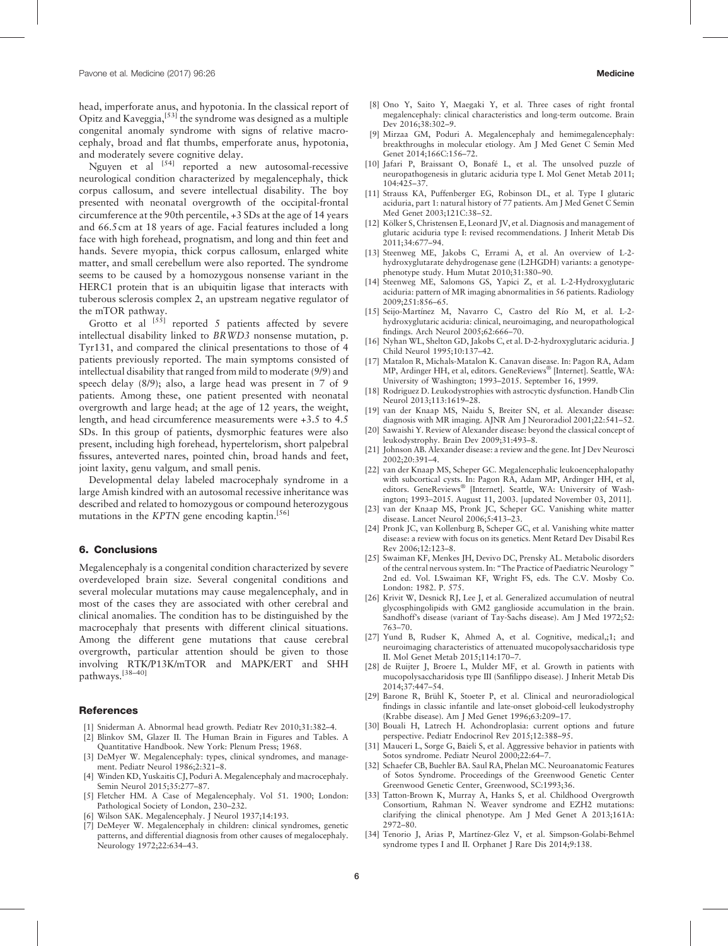head, imperforate anus, and hypotonia. In the classical report of Opitz and Kaveggia,[53] the syndrome was designed as a multiple congenital anomaly syndrome with signs of relative macrocephaly, broad and flat thumbs, emperforate anus, hypotonia, and moderately severe cognitive delay.

Nguyen et al  $^{[54]}$  reported a new autosomal-recessive neurological condition characterized by megalencephaly, thick corpus callosum, and severe intellectual disability. The boy presented with neonatal overgrowth of the occipital-frontal circumference at the 90th percentile, +3 SDs at the age of 14 years and 66.5 cm at 18 years of age. Facial features included a long face with high forehead, prognatism, and long and thin feet and hands. Severe myopia, thick corpus callosum, enlarged white matter, and small cerebellum were also reported. The syndrome seems to be caused by a homozygous nonsense variant in the HERC1 protein that is an ubiquitin ligase that interacts with tuberous sclerosis complex 2, an upstream negative regulator of the mTOR pathway.

Grotto et al  $[5\dot{5}]$  reported 5 patients affected by severe intellectual disability linked to BRWD3 nonsense mutation, p. Tyr131, and compared the clinical presentations to those of 4 patients previously reported. The main symptoms consisted of intellectual disability that ranged from mild to moderate (9/9) and speech delay (8/9); also, a large head was present in 7 of 9 patients. Among these, one patient presented with neonatal overgrowth and large head; at the age of 12 years, the weight, length, and head circumference measurements were +3.5 to 4.5 SDs. In this group of patients, dysmorphic features were also present, including high forehead, hypertelorism, short palpebral fissures, anteverted nares, pointed chin, broad hands and feet, joint laxity, genu valgum, and small penis.

Developmental delay labeled macrocephaly syndrome in a large Amish kindred with an autosomal recessive inheritance was described and related to homozygous or compound heterozygous mutations in the  $KPTN$  gene encoding kaptin.<sup>[56]</sup>

#### 6. Conclusions

Megalencephaly is a congenital condition characterized by severe overdeveloped brain size. Several congenital conditions and several molecular mutations may cause megalencephaly, and in most of the cases they are associated with other cerebral and clinical anomalies. The condition has to be distinguished by the macrocephaly that presents with different clinical situations. Among the different gene mutations that cause cerebral overgrowth, particular attention should be given to those involving RTK/P13K/mTOR and MAPK/ERT and SHH pathways.[38–40]

### **References**

- [1] Sniderman A. Abnormal head growth. Pediatr Rev 2010;31:382–4.
- [2] Blinkov SM, Glazer II. The Human Brain in Figures and Tables. A Quantitative Handbook. New York: Plenum Press; 1968.
- [3] DeMyer W. Megalencephaly: types, clinical syndromes, and management. Pediatr Neurol 1986;2:321–8.
- Winden KD, Yuskaitis CJ, Poduri A. Megalencephaly and macrocephaly. Semin Neurol 2015;35:277–87.
- [5] Fletcher HM. A Case of Megalencephaly. Vol 51. 1900; London: Pathological Society of London, 230–232.
- [6] Wilson SAK. Megalencephaly. J Neurol 1937;14:193.
- [7] DeMeyer W. Megalencephaly in children: clinical syndromes, genetic patterns, and differential diagnosis from other causes of megalocephaly. Neurology 1972;22:634–43.
- [9] Mirzaa GM, Poduri A. Megalencephaly and hemimegalencephaly: breakthroughs in molecular etiology. Am J Med Genet C Semin Med Genet 2014;166C:156–72.
- [10] Jafari P, Braissant O, Bonafé L, et al. The unsolved puzzle of neuropathogenesis in glutaric aciduria type I. Mol Genet Metab 2011; 104:425–37.
- [11] Strauss KA, Puffenberger EG, Robinson DL, et al. Type I glutaric aciduria, part 1: natural history of 77 patients. Am J Med Genet C Semin Med Genet 2003;121C:38–52.
- [12] Kölker S, Christensen E, Leonard JV, et al. Diagnosis and management of glutaric aciduria type I: revised recommendations. J Inherit Metab Dis 2011;34:677–94.
- [13] Steenweg ME, Jakobs C, Errami A, et al. An overview of L-2hydroxyglutarate dehydrogenase gene (L2HGDH) variants: a genotypephenotype study. Hum Mutat 2010;31:380–90.
- [14] Steenweg ME, Salomons GS, Yapici Z, et al. L-2-Hydroxyglutaric aciduria: pattern of MR imaging abnormalities in 56 patients. Radiology 2009;251:856–65.
- [15] Seijo-Martínez M, Navarro C, Castro del Río M, et al. L-2 hydroxyglutaric aciduria: clinical, neuroimaging, and neuropathological findings. Arch Neurol 2005;62:666–70.
- [16] Nyhan WL, Shelton GD, Jakobs C, et al. D-2-hydroxyglutaric aciduria. J Child Neurol 1995;10:137–42.
- [17] Matalon R, Michals-Matalon K. Canavan disease. In: Pagon RA, Adam MP, Ardinger HH, et al, editors. GeneReviews® [Internet]. Seattle, WA: University of Washington; 1993–2015. September 16, 1999.
- [18] Rodriguez D. Leukodystrophies with astrocytic dysfunction. Handb Clin Neurol 2013;113:1619–28.
- [19] van der Knaap MS, Naidu S, Breiter SN, et al. Alexander disease: diagnosis with MR imaging. AJNR Am J Neuroradiol 2001;22:541–52.
- [20] Sawaishi Y. Review of Alexander disease: beyond the classical concept of leukodystrophy. Brain Dev 2009;31:493–8.
- [21] Johnson AB. Alexander disease: a review and the gene. Int J Dev Neurosci 2002;20:391–4.
- [22] van der Knaap MS, Scheper GC. Megalencephalic leukoencephalopathy with subcortical cysts. In: Pagon RA, Adam MP, Ardinger HH, et al, editors. GeneReviews® [Internet]. Seattle, WA: University of Washington; 1993–2015. August 11, 2003. [updated November 03, 2011].
- [23] van der Knaap MS, Pronk JC, Scheper GC. Vanishing white matter disease. Lancet Neurol 2006;5:413–23.
- [24] Pronk JC, van Kollenburg B, Scheper GC, et al. Vanishing white matter disease: a review with focus on its genetics. Ment Retard Dev Disabil Res Rev 2006;12:123–8.
- [25] Swaiman KF, Menkes JH, Devivo DC, Prensky AL. Metabolic disorders of the central nervous system. In: "The Practice of Paediatric Neurology " 2nd ed. Vol. I.Swaiman KF, Wright FS, eds. The C.V. Mosby Co. London: 1982. P. 575.
- [26] Krivit W, Desnick RJ, Lee J, et al. Generalized accumulation of neutral glycosphingolipids with GM2 ganglioside accumulation in the brain. Sandhoff's disease (variant of Tay-Sachs disease). Am J Med 1972;52: 763–70.
- [27] Yund B, Rudser K, Ahmed A, et al. Cognitive, medical,:1; and neuroimaging characteristics of attenuated mucopolysaccharidosis type II. Mol Genet Metab 2015;114:170–7.
- [28] de Ruijter J, Broere L, Mulder MF, et al. Growth in patients with mucopolysaccharidosis type III (Sanfilippo disease). J Inherit Metab Dis 2014;37:447–54.
- [29] Barone R, Brühl K, Stoeter P, et al. Clinical and neuroradiological findings in classic infantile and late-onset globoid-cell leukodystrophy (Krabbe disease). Am J Med Genet 1996;63:209–17.
- [30] Bouali H, Latrech H. Achondroplasia: current options and future perspective. Pediatr Endocrinol Rev 2015;12:388–95.
- [31] Mauceri L, Sorge G, Baieli S, et al. Aggressive behavior in patients with Sotos syndrome. Pediatr Neurol 2000;22:64–7.
- [32] Schaefer CB, Buehler BA. Saul RA, Phelan MC. Neuroanatomic Features of Sotos Syndrome. Proceedings of the Greenwood Genetic Center Greenwood Genetic Center, Greenwood, SC:1993;36.
- [33] Tatton-Brown K, Murray A, Hanks S, et al. Childhood Overgrowth Consortium, Rahman N. Weaver syndrome and EZH2 mutations: clarifying the clinical phenotype. Am J Med Genet A 2013;161A: 2972–80.
- [34] Tenorio J, Arias P, Martínez-Glez V, et al. Simpson-Golabi-Behmel syndrome types I and II. Orphanet J Rare Dis 2014;9:138.

6